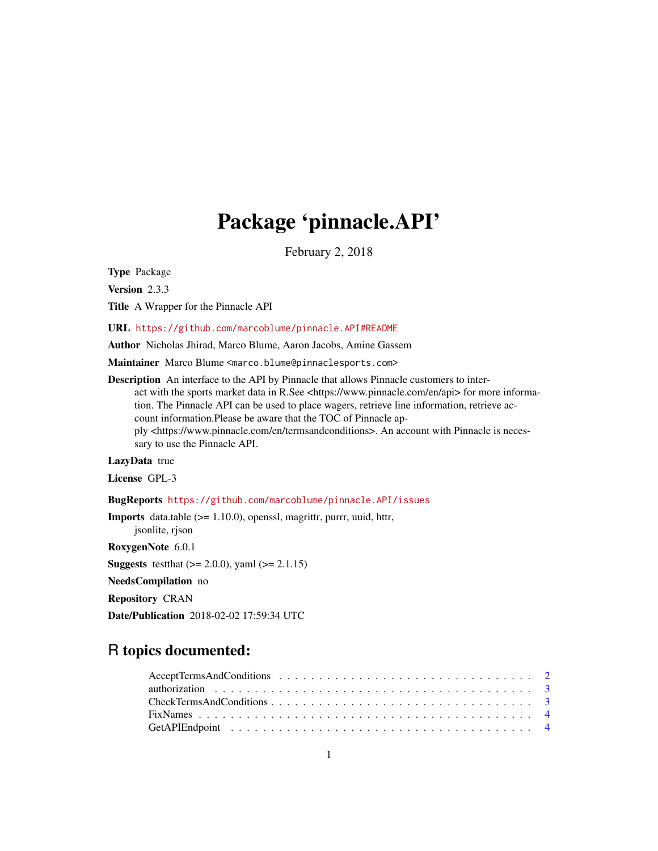# Package 'pinnacle.API'

February 2, 2018

Type Package

Version 2.3.3

Title A Wrapper for the Pinnacle API

URL <https://github.com/marcoblume/pinnacle.API#README>

Author Nicholas Jhirad, Marco Blume, Aaron Jacobs, Amine Gassem

Maintainer Marco Blume <marco.blume@pinnaclesports.com>

Description An interface to the API by Pinnacle that allows Pinnacle customers to interact with the sports market data in R.See <https://www.pinnacle.com/en/api> for more information. The Pinnacle API can be used to place wagers, retrieve line information, retrieve account information.Please be aware that the TOC of Pinnacle apply <https://www.pinnacle.com/en/termsandconditions>. An account with Pinnacle is necessary to use the Pinnacle API.

LazyData true

License GPL-3

BugReports <https://github.com/marcoblume/pinnacle.API/issues>

Imports data.table (>= 1.10.0), openssl, magrittr, purrr, uuid, httr,

RoxygenNote 6.0.1

jsonlite, rjson

**Suggests** test that  $(>= 2.0.0)$ , yaml  $(>= 2.1.15)$ 

NeedsCompilation no

Repository CRAN

Date/Publication 2018-02-02 17:59:34 UTC

# R topics documented: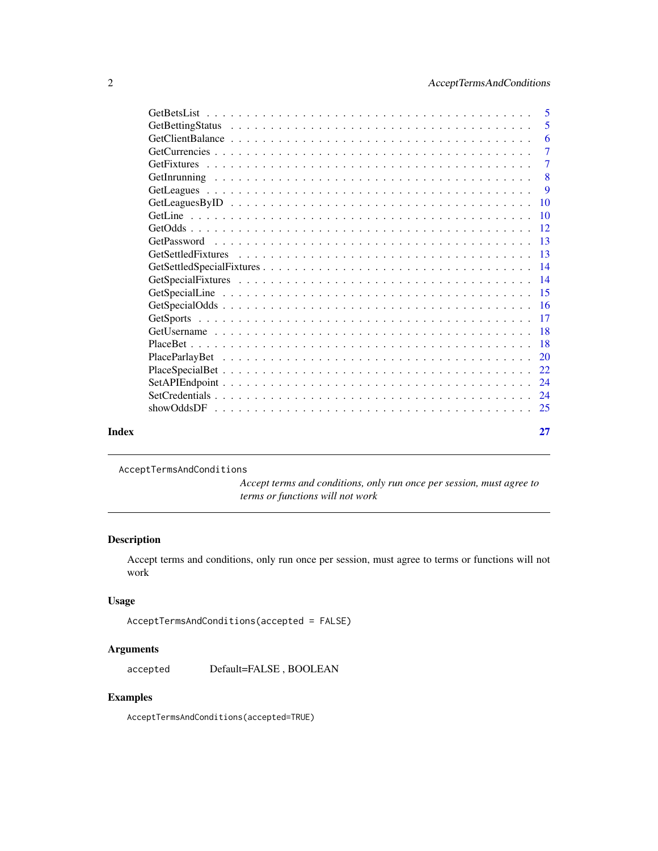<span id="page-1-0"></span>

|       | $\sqrt{5}$      |
|-------|-----------------|
|       | 5               |
|       | -6              |
|       | $\overline{7}$  |
|       | $\overline{7}$  |
|       | 8               |
|       | 9               |
|       | $\overline{10}$ |
|       | $\overline{10}$ |
|       | $-12$           |
|       |                 |
|       |                 |
|       |                 |
|       |                 |
|       |                 |
|       |                 |
|       |                 |
|       |                 |
|       |                 |
|       |                 |
|       |                 |
|       |                 |
|       |                 |
|       |                 |
| Index | 27              |

AcceptTermsAndConditions

*Accept terms and conditions, only run once per session, must agree to terms or functions will not work*

## Description

Accept terms and conditions, only run once per session, must agree to terms or functions will not work

## Usage

```
AcceptTermsAndConditions(accepted = FALSE)
```
## Arguments

accepted Default=FALSE , BOOLEAN

# Examples

AcceptTermsAndConditions(accepted=TRUE)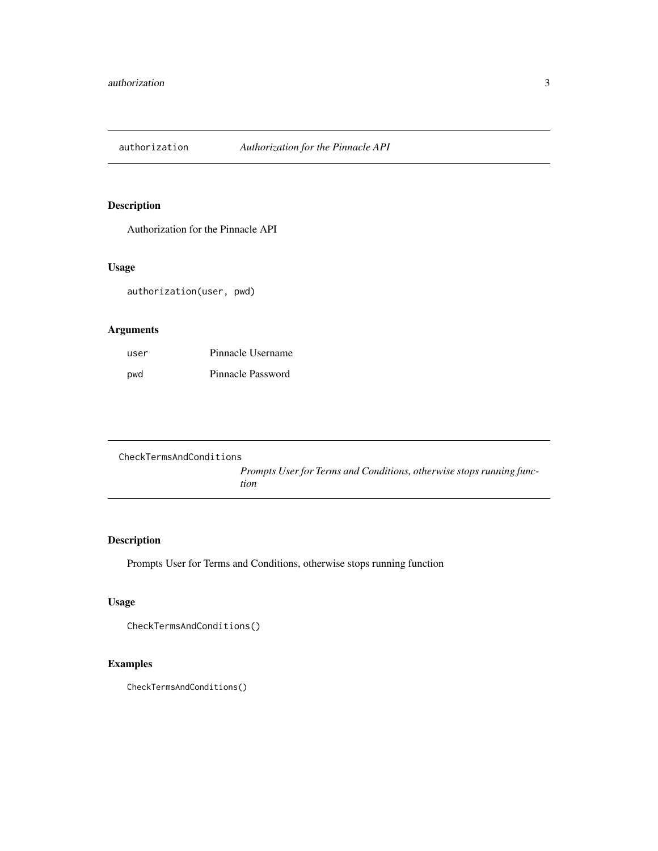<span id="page-2-0"></span>authorization *Authorization for the Pinnacle API*

# Description

Authorization for the Pinnacle API

## Usage

authorization(user, pwd)

## Arguments

| user | Pinnacle Username |
|------|-------------------|
| pwd  | Pinnacle Password |

| CheckTermsAndConditions |                                                                      |
|-------------------------|----------------------------------------------------------------------|
|                         | Prompts User for Terms and Conditions, otherwise stops running func- |
|                         | tion                                                                 |

# Description

Prompts User for Terms and Conditions, otherwise stops running function

# Usage

```
CheckTermsAndConditions()
```
# Examples

CheckTermsAndConditions()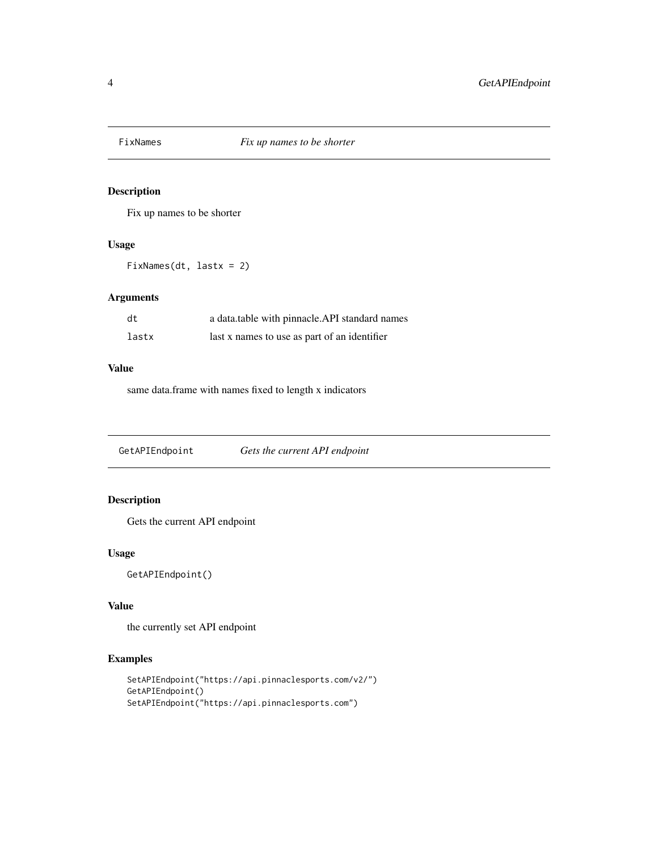<span id="page-3-0"></span>

Fix up names to be shorter

#### Usage

FixNames(dt, lastx = 2)

#### Arguments

| dt    | a data.table with pinnacle.API standard names |
|-------|-----------------------------------------------|
| lastx | last x names to use as part of an identifier  |

#### Value

same data.frame with names fixed to length x indicators

GetAPIEndpoint *Gets the current API endpoint*

## Description

Gets the current API endpoint

## Usage

GetAPIEndpoint()

#### Value

the currently set API endpoint

```
SetAPIEndpoint("https://api.pinnaclesports.com/v2/")
GetAPIEndpoint()
SetAPIEndpoint("https://api.pinnaclesports.com")
```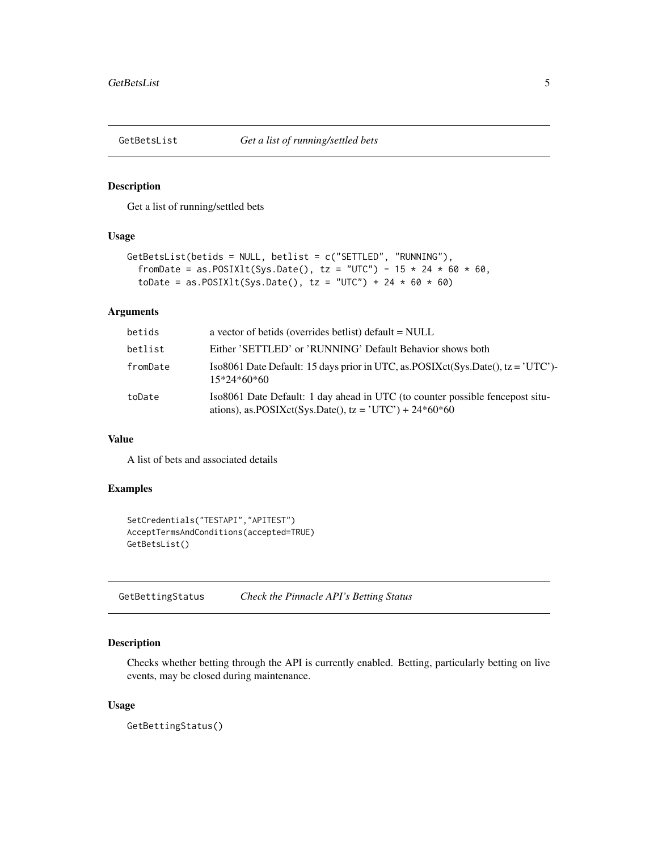<span id="page-4-0"></span>

Get a list of running/settled bets

## Usage

```
GetBetsList(betids = NULL, betlist = c("SETTLED", "RUNNING"),
  fromDate = as.POSIX1t(Sys.Date(), tz = "UTC") - 15 * 24 * 60 * 60,
  toDate = as.POSIXlt(Sys.Date(), tz = "UTC") + 24 * 60 * 60)
```
#### Arguments

| betids   | a vector of betids (overrides bethat) default $=$ NULL                                                                                    |
|----------|-------------------------------------------------------------------------------------------------------------------------------------------|
| betlist  | Either 'SETTLED' or 'RUNNING' Default Behavior shows both                                                                                 |
| fromDate | Iso8061 Date Default: 15 days prior in UTC, as POSIX ct(Sys. Date(), tz = 'UTC')-<br>$15*24*60*60$                                        |
| toDate   | Iso8061 Date Default: 1 day ahead in UTC (to counter possible fencepost situ-<br>ations), as.POSIXct(Sys.Date(), tz = 'UTC') + $24*60*60$ |

## Value

A list of bets and associated details

#### Examples

```
SetCredentials("TESTAPI","APITEST")
AcceptTermsAndConditions(accepted=TRUE)
GetBetsList()
```
GetBettingStatus *Check the Pinnacle API's Betting Status*

## Description

Checks whether betting through the API is currently enabled. Betting, particularly betting on live events, may be closed during maintenance.

#### Usage

GetBettingStatus()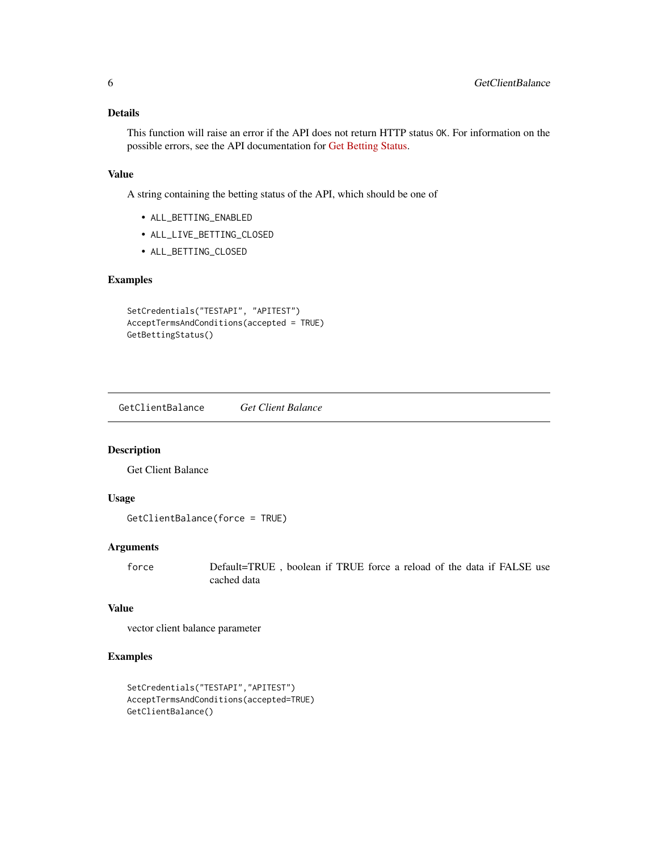## <span id="page-5-0"></span>Details

This function will raise an error if the API does not return HTTP status OK. For information on the possible errors, see the API documentation for [Get Betting Status.](https://pinnacleapi.github.io/betsapi#tag/Betting-Status)

#### Value

A string containing the betting status of the API, which should be one of

- ALL\_BETTING\_ENABLED
- ALL\_LIVE\_BETTING\_CLOSED
- ALL\_BETTING\_CLOSED

#### Examples

```
SetCredentials("TESTAPI", "APITEST")
AcceptTermsAndConditions(accepted = TRUE)
GetBettingStatus()
```
GetClientBalance *Get Client Balance*

## Description

Get Client Balance

#### Usage

```
GetClientBalance(force = TRUE)
```
#### Arguments

force Default=TRUE , boolean if TRUE force a reload of the data if FALSE use cached data

#### Value

vector client balance parameter

```
SetCredentials("TESTAPI","APITEST")
AcceptTermsAndConditions(accepted=TRUE)
GetClientBalance()
```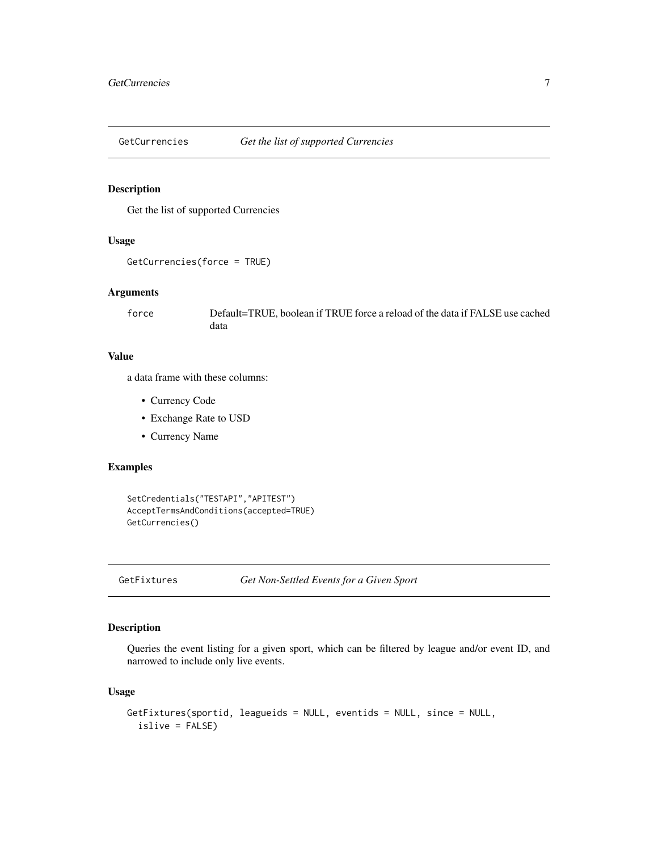<span id="page-6-0"></span>

Get the list of supported Currencies

#### Usage

```
GetCurrencies(force = TRUE)
```
#### Arguments

force Default=TRUE, boolean if TRUE force a reload of the data if FALSE use cached data

#### Value

a data frame with these columns:

- Currency Code
- Exchange Rate to USD
- Currency Name

## Examples

```
SetCredentials("TESTAPI","APITEST")
AcceptTermsAndConditions(accepted=TRUE)
GetCurrencies()
```
GetFixtures *Get Non-Settled Events for a Given Sport*

#### Description

Queries the event listing for a given sport, which can be filtered by league and/or event ID, and narrowed to include only live events.

#### Usage

```
GetFixtures(sportid, leagueids = NULL, eventids = NULL, since = NULL,
  islive = FALSE)
```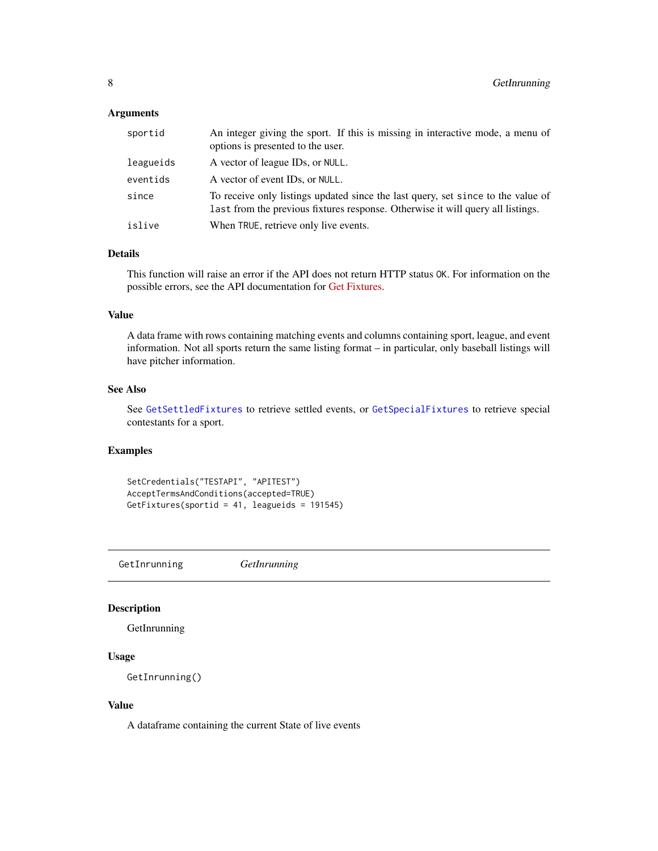## <span id="page-7-0"></span>Arguments

| sportid   | An integer giving the sport. If this is missing in interactive mode, a menu of<br>options is presented to the user.                                                 |
|-----------|---------------------------------------------------------------------------------------------------------------------------------------------------------------------|
| leagueids | A vector of league IDs, or NULL.                                                                                                                                    |
| eventids  | A vector of event IDs, or NULL.                                                                                                                                     |
| since     | To receive only listings updated since the last query, set since to the value of<br>last from the previous fixtures response. Otherwise it will query all listings. |
| islive    | When TRUE, retrieve only live events.                                                                                                                               |

## Details

This function will raise an error if the API does not return HTTP status OK. For information on the possible errors, see the API documentation for [Get Fixtures.](https://pinnacleapi.github.io/#operation/Fixtures_V1_Get)

#### Value

A data frame with rows containing matching events and columns containing sport, league, and event information. Not all sports return the same listing format – in particular, only baseball listings will have pitcher information.

#### See Also

See [GetSettledFixtures](#page-12-1) to retrieve settled events, or [GetSpecialFixtures](#page-13-1) to retrieve special contestants for a sport.

## Examples

```
SetCredentials("TESTAPI", "APITEST")
AcceptTermsAndConditions(accepted=TRUE)
GetFixtures(sportid = 41, leagueids = 191545)
```
GetInrunning *GetInrunning*

## Description

**GetInrunning** 

## Usage

GetInrunning()

#### Value

A dataframe containing the current State of live events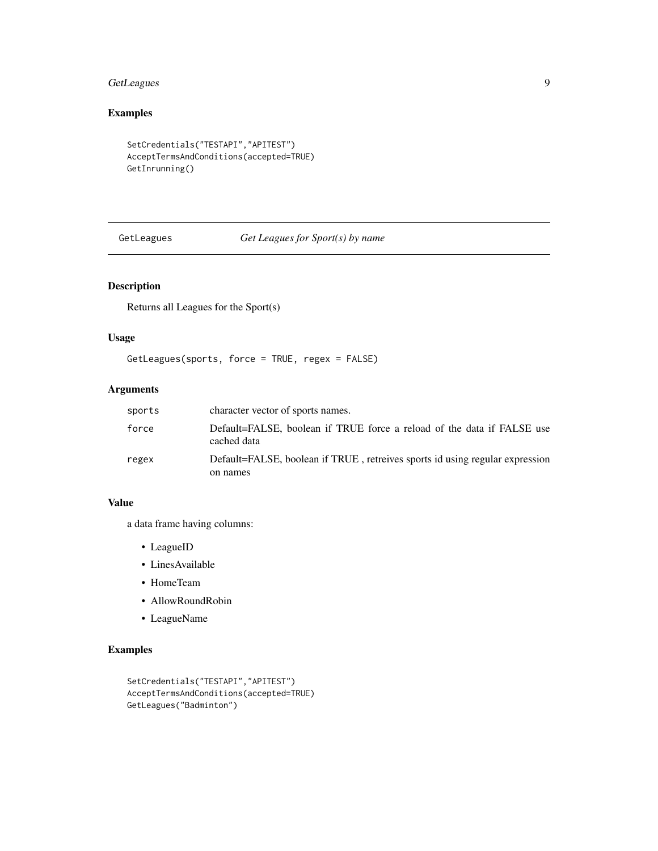# <span id="page-8-0"></span>GetLeagues 9

# Examples

```
SetCredentials("TESTAPI","APITEST")
AcceptTermsAndConditions(accepted=TRUE)
GetInrunning()
```
GetLeagues *Get Leagues for Sport(s) by name*

# Description

Returns all Leagues for the Sport(s)

## Usage

```
GetLeagues(sports, force = TRUE, regex = FALSE)
```
# Arguments

| sports | character vector of sports names.                                                     |
|--------|---------------------------------------------------------------------------------------|
| force  | Default=FALSE, boolean if TRUE force a reload of the data if FALSE use<br>cached data |
| regex  | Default=FALSE, boolean if TRUE, retreives sports id using regular expression          |
|        | on names                                                                              |

#### Value

a data frame having columns:

- LeagueID
- LinesAvailable
- HomeTeam
- AllowRoundRobin
- LeagueName

```
SetCredentials("TESTAPI","APITEST")
AcceptTermsAndConditions(accepted=TRUE)
GetLeagues("Badminton")
```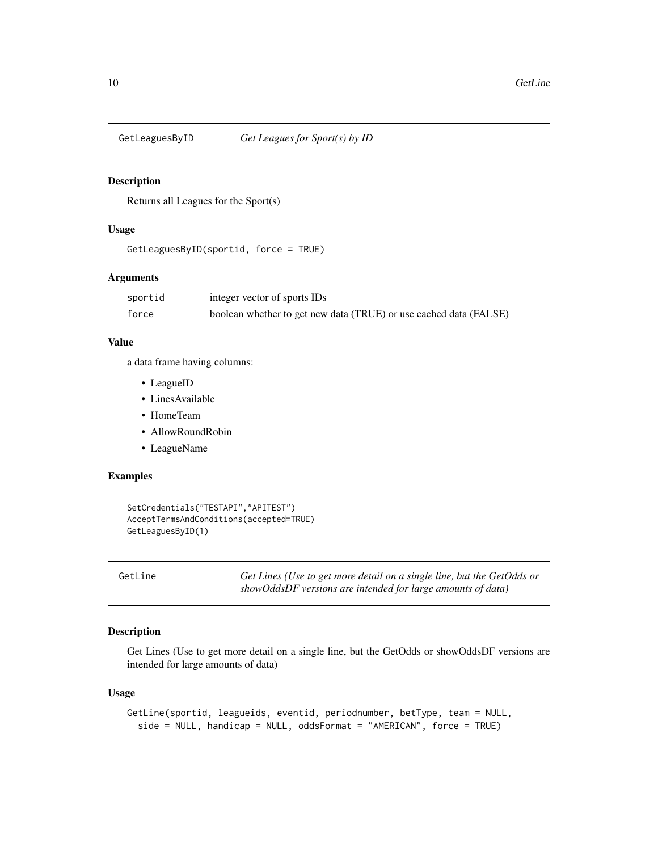<span id="page-9-0"></span>

Returns all Leagues for the Sport(s)

#### Usage

```
GetLeaguesByID(sportid, force = TRUE)
```
#### Arguments

| sportid | integer vector of sports IDs                                      |
|---------|-------------------------------------------------------------------|
| force   | boolean whether to get new data (TRUE) or use cached data (FALSE) |

#### Value

a data frame having columns:

- LeagueID
- LinesAvailable
- HomeTeam
- AllowRoundRobin
- LeagueName

#### Examples

```
SetCredentials("TESTAPI","APITEST")
AcceptTermsAndConditions(accepted=TRUE)
GetLeaguesByID(1)
```
<span id="page-9-1"></span>GetLine *Get Lines (Use to get more detail on a single line, but the GetOdds or showOddsDF versions are intended for large amounts of data)*

## Description

Get Lines (Use to get more detail on a single line, but the GetOdds or showOddsDF versions are intended for large amounts of data)

#### Usage

```
GetLine(sportid, leagueids, eventid, periodnumber, betType, team = NULL,
  side = NULL, handicap = NULL, oddsFormat = "AMERICAN", force = TRUE)
```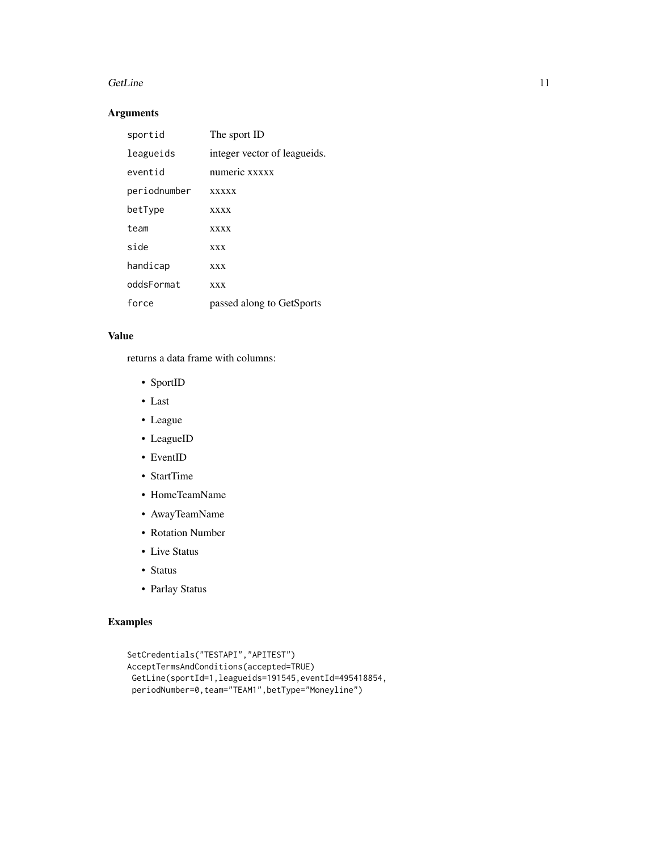#### GetLine 11

## Arguments

| sportid      | The sport ID                 |
|--------------|------------------------------|
| leagueids    | integer vector of leagueids. |
| eventid      | numeric xxxxx                |
| periodnumber | <b>XXXXX</b>                 |
| betType      | <b>XXXX</b>                  |
| team         | <b>XXXX</b>                  |
| side         | <b>XXX</b>                   |
| handicap     | <b>XXX</b>                   |
| oddsFormat   | <b>XXX</b>                   |
| force        | passed along to GetSports    |

# Value

returns a data frame with columns:

- SportID
- Last
- League
- LeagueID
- EventID
- StartTime
- HomeTeamName
- AwayTeamName
- Rotation Number
- Live Status
- Status
- Parlay Status

```
SetCredentials("TESTAPI","APITEST")
AcceptTermsAndConditions(accepted=TRUE)
 GetLine(sportId=1,leagueids=191545,eventId=495418854,
 periodNumber=0,team="TEAM1",betType="Moneyline")
```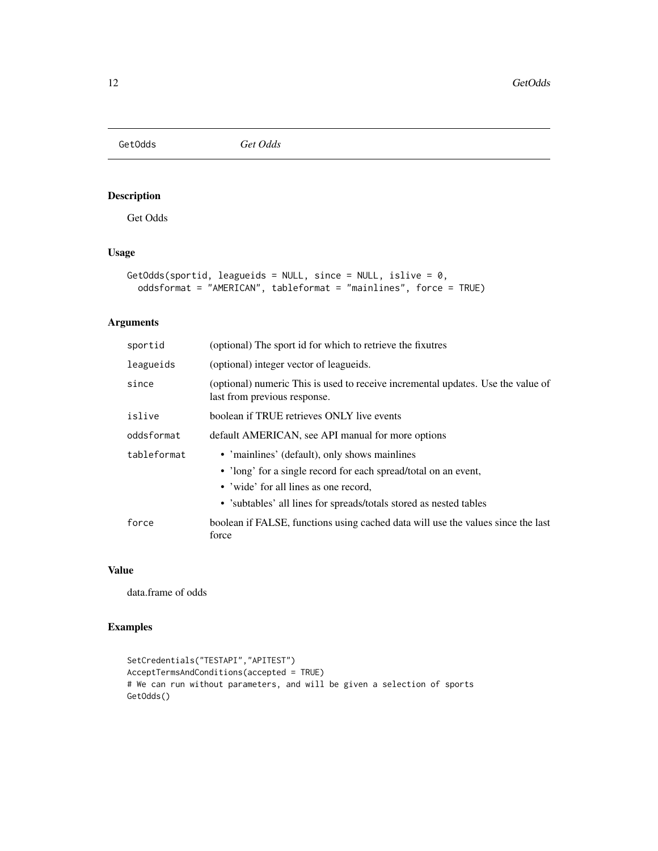<span id="page-11-0"></span>GetOdds *Get Odds*

# Description

Get Odds

#### Usage

```
GetOdds(sportid, leagueids = NULL, since = NULL, islive = 0,
 oddsformat = "AMERICAN", tableformat = "mainlines", force = TRUE)
```
## Arguments

| sportid     | (optional) The sport id for which to retrieve the fixutres                                                                                                                                                                      |
|-------------|---------------------------------------------------------------------------------------------------------------------------------------------------------------------------------------------------------------------------------|
| leagueids   | (optional) integer vector of leagueids.                                                                                                                                                                                         |
| since       | (optional) numeric This is used to receive incremental updates. Use the value of<br>last from previous response.                                                                                                                |
| islive      | boolean if TRUE retrieves ONLY live events                                                                                                                                                                                      |
| oddsformat  | default AMERICAN, see API manual for more options                                                                                                                                                                               |
| tableformat | • 'mainlines' (default), only shows mainlines<br>• 'long' for a single record for each spread/total on an event,<br>• 'wide' for all lines as one record,<br>• 'subtables' all lines for spreads/totals stored as nested tables |
| force       | boolean if FALSE, functions using cached data will use the values since the last<br>force                                                                                                                                       |

#### Value

data.frame of odds

```
SetCredentials("TESTAPI","APITEST")
AcceptTermsAndConditions(accepted = TRUE)
# We can run without parameters, and will be given a selection of sports
GetOdds()
```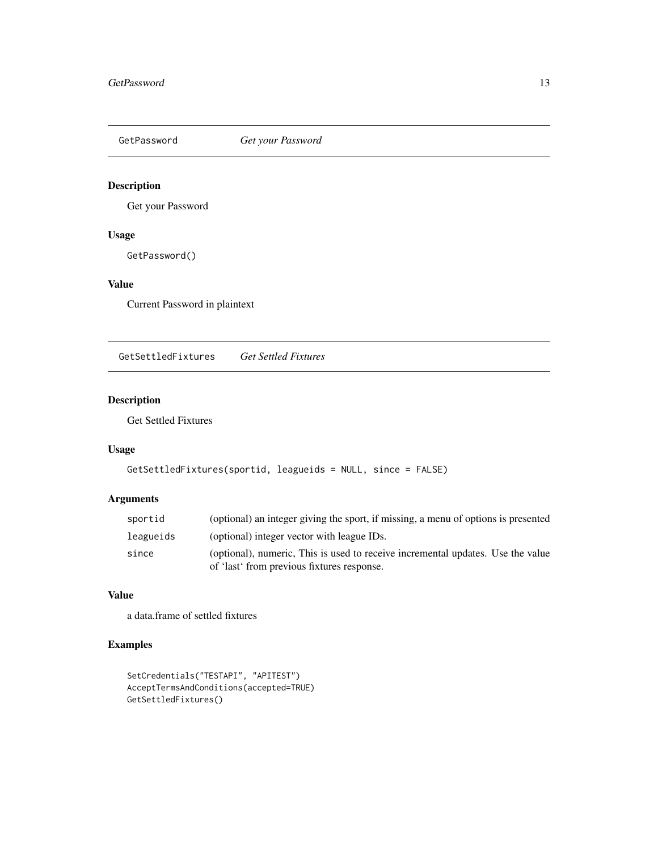<span id="page-12-0"></span>

Get your Password

## Usage

GetPassword()

## Value

Current Password in plaintext

<span id="page-12-1"></span>GetSettledFixtures *Get Settled Fixtures*

## Description

Get Settled Fixtures

# Usage

```
GetSettledFixtures(sportid, leagueids = NULL, since = FALSE)
```
## Arguments

| sportid   | (optional) an integer giving the sport, if missing, a menu of options is presented                                            |
|-----------|-------------------------------------------------------------------------------------------------------------------------------|
| leagueids | (optional) integer vector with league IDs.                                                                                    |
| since     | (optional), numeric, This is used to receive incremental updates. Use the value<br>of 'last' from previous fixtures response. |

#### Value

a data.frame of settled fixtures

```
SetCredentials("TESTAPI", "APITEST")
AcceptTermsAndConditions(accepted=TRUE)
GetSettledFixtures()
```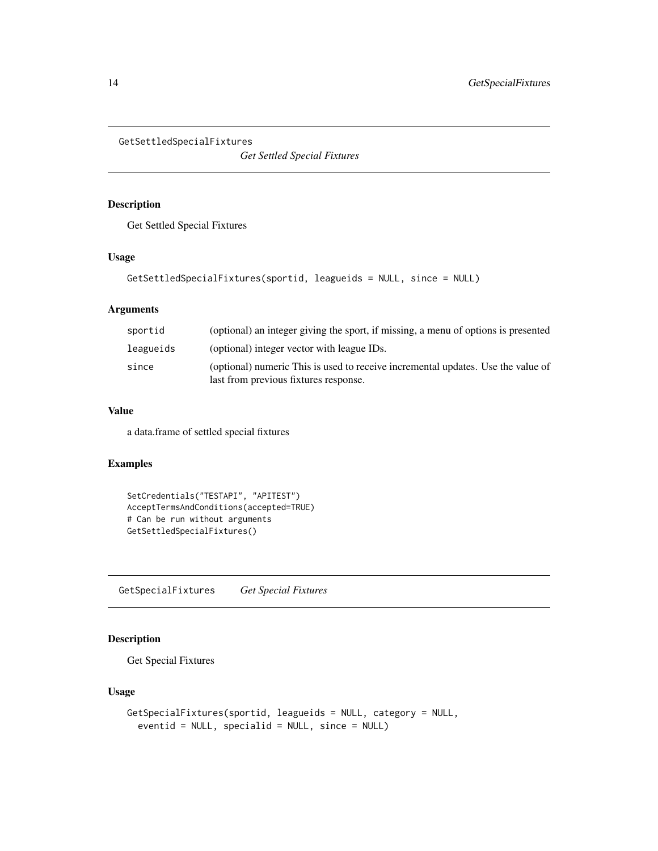```
GetSettledSpecialFixtures
```
*Get Settled Special Fixtures*

## Description

Get Settled Special Fixtures

## Usage

```
GetSettledSpecialFixtures(sportid, leagueids = NULL, since = NULL)
```
## Arguments

| sportid   | (optional) an integer giving the sport, if missing, a menu of options is presented                                        |
|-----------|---------------------------------------------------------------------------------------------------------------------------|
| leagueids | (optional) integer vector with league IDs.                                                                                |
| since     | (optional) numeric This is used to receive incremental updates. Use the value of<br>last from previous fixtures response. |

#### Value

a data.frame of settled special fixtures

#### Examples

```
SetCredentials("TESTAPI", "APITEST")
AcceptTermsAndConditions(accepted=TRUE)
# Can be run without arguments
GetSettledSpecialFixtures()
```
<span id="page-13-1"></span>GetSpecialFixtures *Get Special Fixtures*

# Description

Get Special Fixtures

#### Usage

```
GetSpecialFixtures(sportid, leagueids = NULL, category = NULL,
  eventid = NULL, specialid = NULL, since = NULL)
```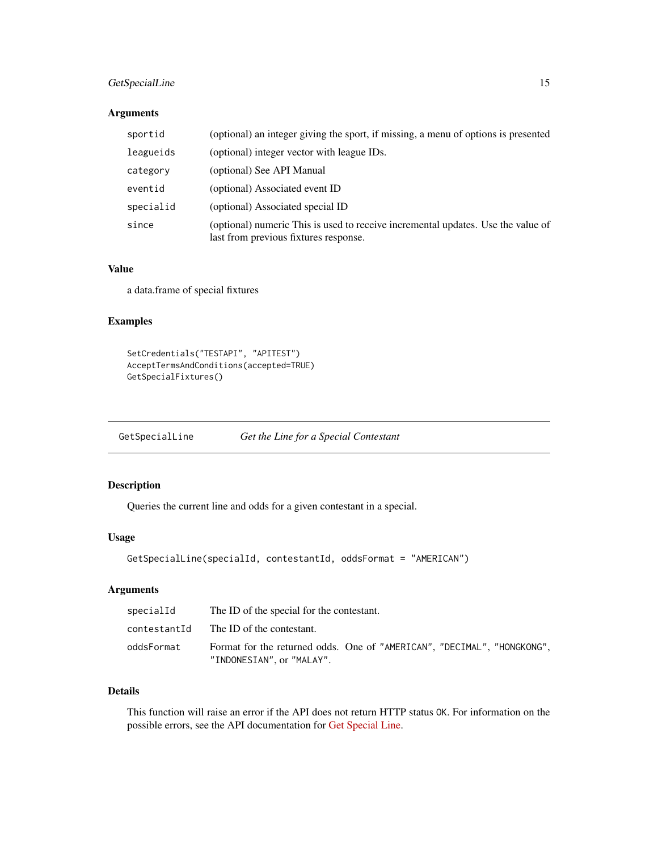## <span id="page-14-0"></span>GetSpecialLine 15

#### Arguments

| sportid   | (optional) an integer giving the sport, if missing, a menu of options is presented                                        |
|-----------|---------------------------------------------------------------------------------------------------------------------------|
| leagueids | (optional) integer vector with league IDs.                                                                                |
| category  | (optional) See API Manual                                                                                                 |
| eventid   | (optional) Associated event ID                                                                                            |
| specialid | (optional) Associated special ID                                                                                          |
| since     | (optional) numeric This is used to receive incremental updates. Use the value of<br>last from previous fixtures response. |

## Value

a data.frame of special fixtures

#### Examples

```
SetCredentials("TESTAPI", "APITEST")
AcceptTermsAndConditions(accepted=TRUE)
GetSpecialFixtures()
```
<span id="page-14-1"></span>GetSpecialLine *Get the Line for a Special Contestant*

## Description

Queries the current line and odds for a given contestant in a special.

## Usage

```
GetSpecialLine(specialId, contestantId, oddsFormat = "AMERICAN")
```
#### Arguments

| specialId    | The ID of the special for the contestant.                                                            |
|--------------|------------------------------------------------------------------------------------------------------|
| contestantId | The ID of the contestant.                                                                            |
| oddsFormat   | Format for the returned odds. One of "AMERICAN", "DECIMAL", "HONGKONG",<br>"INDONESIAN", or "MALAY". |

# Details

This function will raise an error if the API does not return HTTP status OK. For information on the possible errors, see the API documentation for [Get Special Line.](https://pinnacleapi.github.io/linesapi#operation/Line_Special_V1_Get)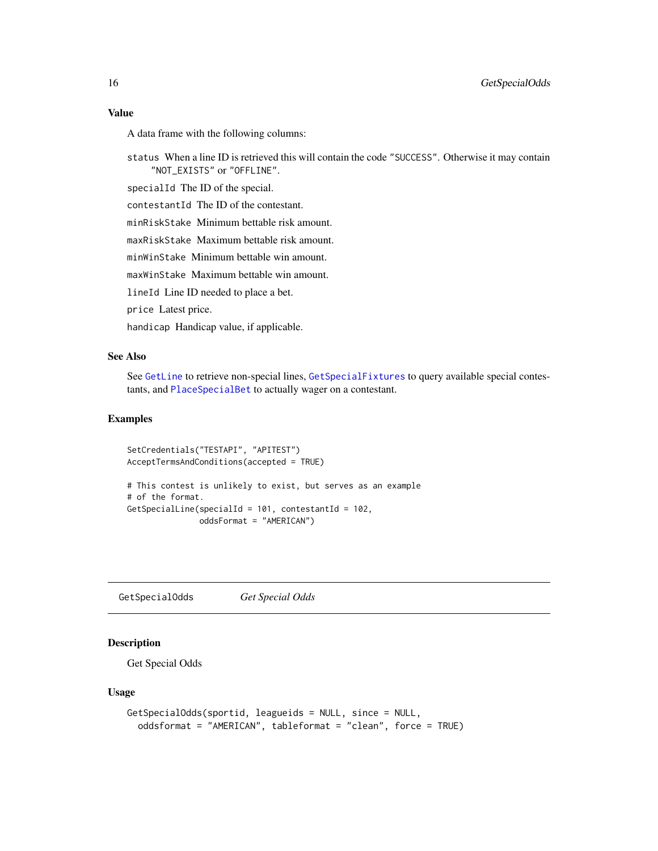#### <span id="page-15-0"></span>Value

A data frame with the following columns:

status When a line ID is retrieved this will contain the code "SUCCESS". Otherwise it may contain "NOT\_EXISTS" or "OFFLINE".

specialId The ID of the special.

contestantId The ID of the contestant.

minRiskStake Minimum bettable risk amount.

maxRiskStake Maximum bettable risk amount.

minWinStake Minimum bettable win amount.

maxWinStake Maximum bettable win amount.

lineId Line ID needed to place a bet.

price Latest price.

handicap Handicap value, if applicable.

## See Also

See [GetLine](#page-9-1) to retrieve non-special lines, [GetSpecialFixtures](#page-13-1) to query available special contestants, and [PlaceSpecialBet](#page-21-1) to actually wager on a contestant.

#### Examples

```
SetCredentials("TESTAPI", "APITEST")
AcceptTermsAndConditions(accepted = TRUE)
# This contest is unlikely to exist, but serves as an example
# of the format.
GetSpecialLine(specialId = 101, contestantId = 102,
               oddsFormat = "AMERICAN")
```
GetSpecialOdds *Get Special Odds*

#### Description

Get Special Odds

#### Usage

```
GetSpecialOdds(sportid, leagueids = NULL, since = NULL,
  oddsformat = "AMERICAN", tableformat = "clean", force = TRUE)
```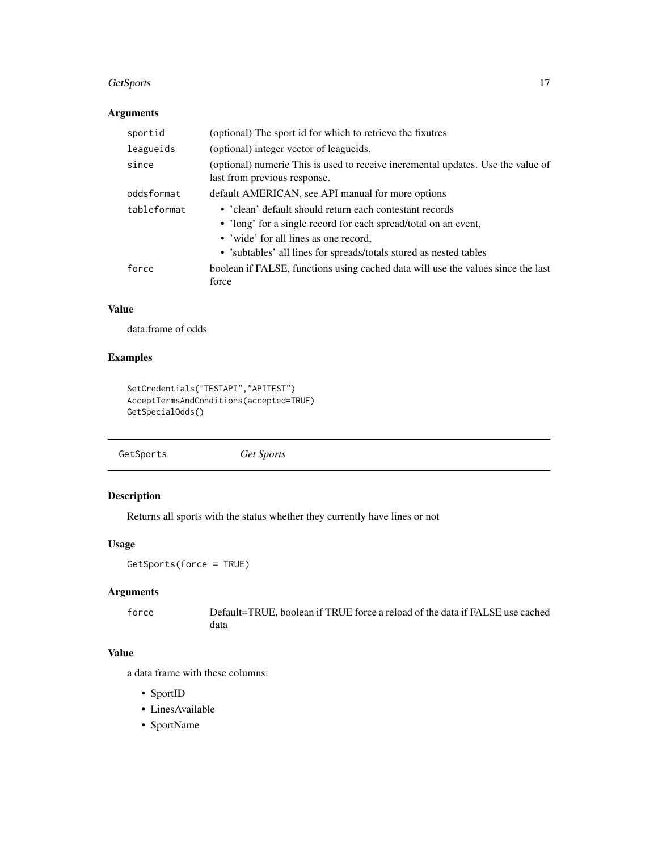#### <span id="page-16-0"></span>GetSports 17

## Arguments

| sportid     | (optional) The sport id for which to retrieve the fixutres                                                                                                                                                                                |
|-------------|-------------------------------------------------------------------------------------------------------------------------------------------------------------------------------------------------------------------------------------------|
| leagueids   | (optional) integer vector of leagueids.                                                                                                                                                                                                   |
| since       | (optional) numeric This is used to receive incremental updates. Use the value of<br>last from previous response.                                                                                                                          |
| oddsformat  | default AMERICAN, see API manual for more options                                                                                                                                                                                         |
| tableformat | • 'clean' default should return each contestant records<br>• 'long' for a single record for each spread/total on an event,<br>• 'wide' for all lines as one record,<br>• 'subtables' all lines for spreads/totals stored as nested tables |
| force       | boolean if FALSE, functions using cached data will use the values since the last<br>force                                                                                                                                                 |

## Value

data.frame of odds

## Examples

```
SetCredentials("TESTAPI","APITEST")
AcceptTermsAndConditions(accepted=TRUE)
GetSpecialOdds()
```
GetSports *Get Sports*

# Description

Returns all sports with the status whether they currently have lines or not

#### Usage

GetSports(force = TRUE)

# Arguments

force Default=TRUE, boolean if TRUE force a reload of the data if FALSE use cached data

#### Value

a data frame with these columns:

- SportID
- LinesAvailable
- SportName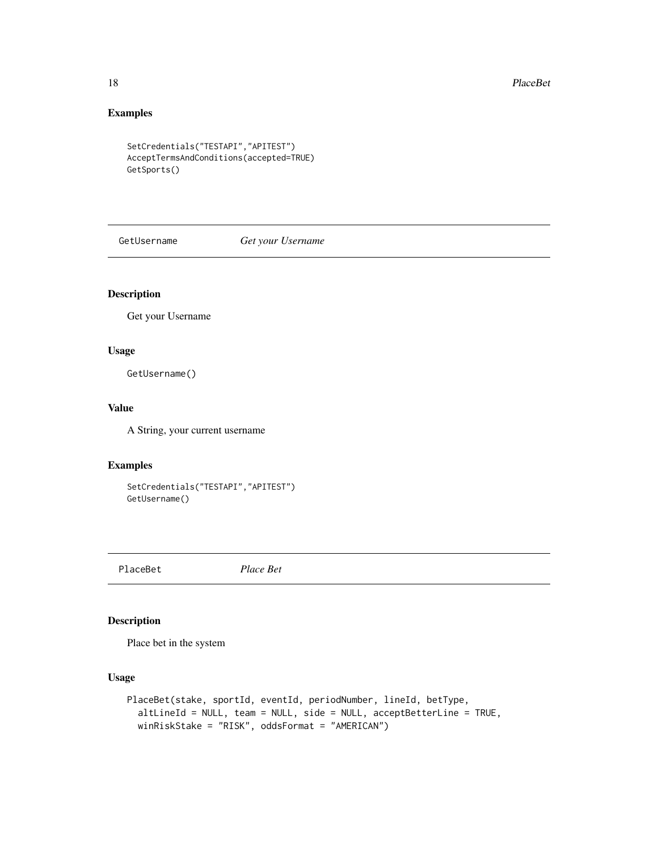# Examples

```
SetCredentials("TESTAPI","APITEST")
AcceptTermsAndConditions(accepted=TRUE)
GetSports()
```
GetUsername *Get your Username*

## Description

Get your Username

#### Usage

GetUsername()

#### Value

A String, your current username

## Examples

```
SetCredentials("TESTAPI","APITEST")
GetUsername()
```
<span id="page-17-1"></span>PlaceBet *Place Bet*

## Description

Place bet in the system

#### Usage

```
PlaceBet(stake, sportId, eventId, periodNumber, lineId, betType,
  altLineId = NULL, team = NULL, side = NULL, acceptBetterLine = TRUE,
 winRiskStake = "RISK", oddsFormat = "AMERICAN")
```
<span id="page-17-0"></span>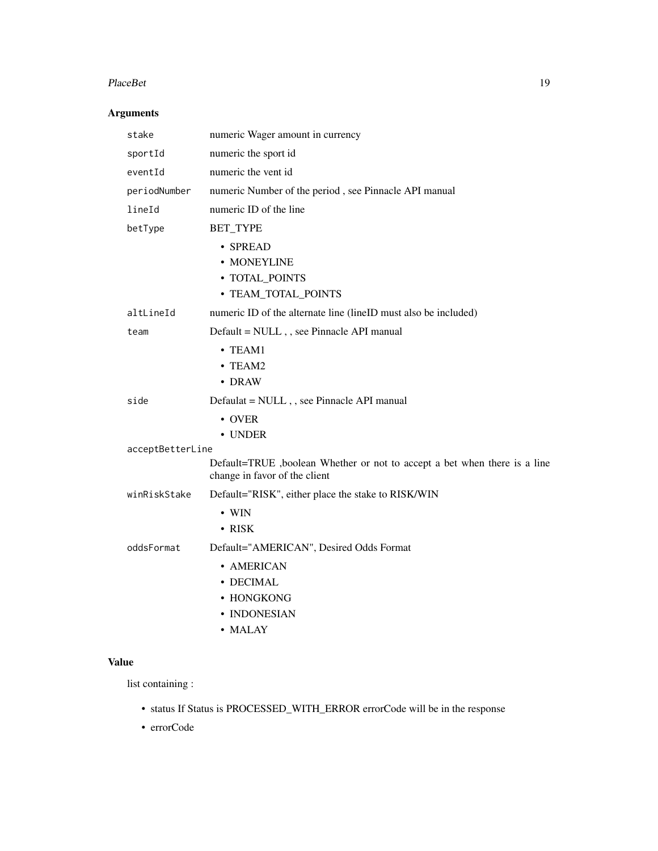#### PlaceBet 2012 and 2012 and 2012 and 2012 and 2012 and 2012 and 2012 and 2012 and 2012 and 2012 and 2013 and 20

## Arguments

| stake            | numeric Wager amount in currency                                                                           |
|------------------|------------------------------------------------------------------------------------------------------------|
| sportId          | numeric the sport id                                                                                       |
| eventId          | numeric the vent id                                                                                        |
| periodNumber     | numeric Number of the period, see Pinnacle API manual                                                      |
| lineId           | numeric ID of the line                                                                                     |
| betType          | BET_TYPE                                                                                                   |
|                  | • SPREAD<br>• MONEYLINE<br>• TOTAL_POINTS<br>• TEAM_TOTAL_POINTS                                           |
| altLineId        | numeric ID of the alternate line (lineID must also be included)                                            |
| team             | Default = NULL,, see Pinnacle API manual                                                                   |
|                  | $\cdot$ TEAM1<br>$\cdot$ TEAM2<br>• DRAW                                                                   |
| side             | Defaulat = NULL, , see Pinnacle API manual                                                                 |
|                  | • OVER<br>• UNDER                                                                                          |
| acceptBetterLine |                                                                                                            |
|                  | Default=TRUE, boolean Whether or not to accept a bet when there is a line<br>change in favor of the client |
| winRiskStake     | Default="RISK", either place the stake to RISK/WIN                                                         |
|                  | $\bullet$ WIN<br>• RISK                                                                                    |
| oddsFormat       | Default="AMERICAN", Desired Odds Format                                                                    |
|                  | • AMERICAN<br>• DECIMAL<br>• HONGKONG<br>• INDONESIAN<br>• MALAY                                           |

# Value

list containing :

- status If Status is PROCESSED\_WITH\_ERROR errorCode will be in the response
- errorCode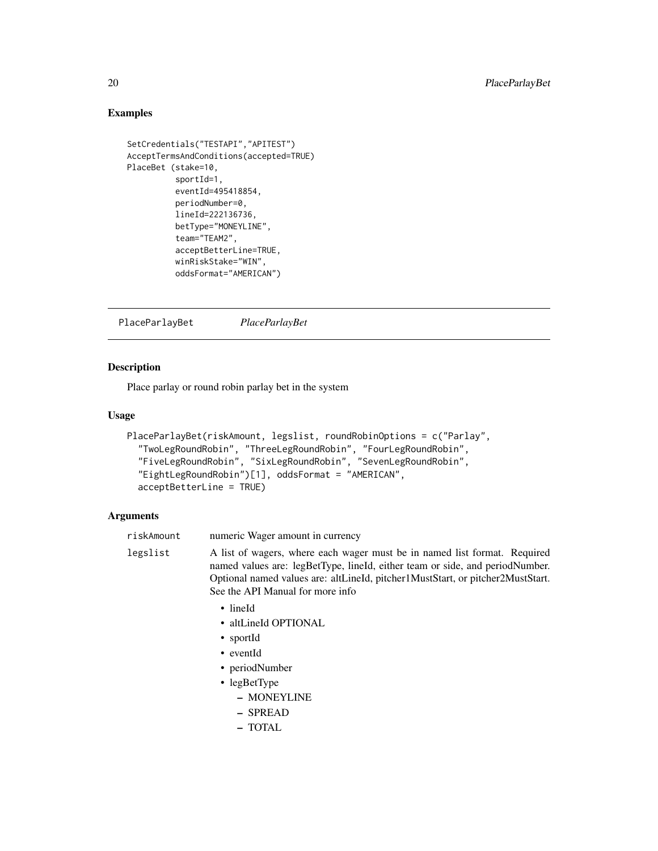## Examples

```
SetCredentials("TESTAPI","APITEST")
AcceptTermsAndConditions(accepted=TRUE)
PlaceBet (stake=10,
         sportId=1,
          eventId=495418854,
          periodNumber=0,
          lineId=222136736,
          betType="MONEYLINE",
          team="TEAM2",
          acceptBetterLine=TRUE,
          winRiskStake="WIN",
          oddsFormat="AMERICAN")
```
PlaceParlayBet *PlaceParlayBet*

## Description

Place parlay or round robin parlay bet in the system

#### Usage

```
PlaceParlayBet(riskAmount, legslist, roundRobinOptions = c("Parlay",
  "TwoLegRoundRobin", "ThreeLegRoundRobin", "FourLegRoundRobin",
  "FiveLegRoundRobin", "SixLegRoundRobin", "SevenLegRoundRobin",
  "EightLegRoundRobin")[1], oddsFormat = "AMERICAN",
  acceptBetterLine = TRUE)
```
#### Arguments

| riskAmount | numeric Wager amount in currency                                                                                                                                                                                                                                                |
|------------|---------------------------------------------------------------------------------------------------------------------------------------------------------------------------------------------------------------------------------------------------------------------------------|
| legslist   | A list of wagers, where each wager must be in named list format. Required<br>named values are: legBetType, lineId, either team or side, and periodNumber.<br>Optional named values are: altLineId, pitcher1MustStart, or pitcher2MustStart.<br>See the API Manual for more info |
|            | $\bullet$ lineld                                                                                                                                                                                                                                                                |
|            | • altLineId OPTIONAL                                                                                                                                                                                                                                                            |
|            | • sportId                                                                                                                                                                                                                                                                       |
|            | • eventId                                                                                                                                                                                                                                                                       |
|            | • periodNumber                                                                                                                                                                                                                                                                  |
|            | • $legRetType$                                                                                                                                                                                                                                                                  |
|            | - MONEYLINE                                                                                                                                                                                                                                                                     |
|            | - SPREAD                                                                                                                                                                                                                                                                        |
|            | - TOTAL                                                                                                                                                                                                                                                                         |
|            |                                                                                                                                                                                                                                                                                 |

<span id="page-19-0"></span>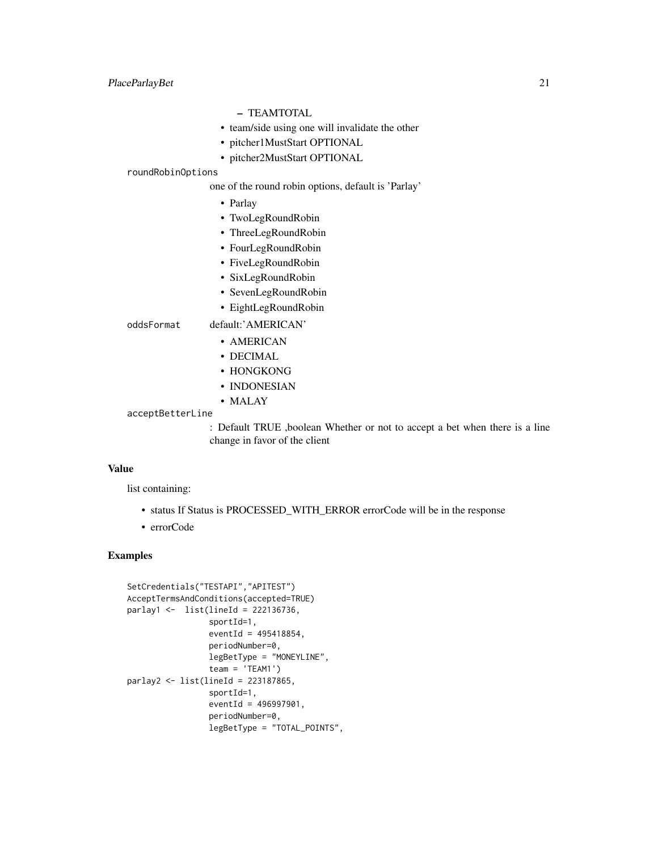# – TEAMTOTAL

- team/side using one will invalidate the other
- pitcher1MustStart OPTIONAL
- pitcher2MustStart OPTIONAL

#### roundRobinOptions

one of the round robin options, default is 'Parlay'

- Parlay
- TwoLegRoundRobin
- ThreeLegRoundRobin
- FourLegRoundRobin
- FiveLegRoundRobin
- SixLegRoundRobin
- SevenLegRoundRobin
- EightLegRoundRobin

oddsFormat default:'AMERICAN'

# • AMERICAN

- DECIMAL
- HONGKONG
- INDONESIAN
- MALAY
- acceptBetterLine

: Default TRUE ,boolean Whether or not to accept a bet when there is a line change in favor of the client

#### Value

list containing:

- status If Status is PROCESSED\_WITH\_ERROR errorCode will be in the response
- errorCode

```
SetCredentials("TESTAPI","APITEST")
AcceptTermsAndConditions(accepted=TRUE)
parlay1 <- list(lineId = 222136736,
                 sportId=1,
                 eventId = 495418854,periodNumber=0,
                 legBetType = "MONEYLINE",
                 team = 'TEAM1')
parlay2 <- list(lineId = 223187865,
                 sportId=1,
                 eventId = 496997901,
                 periodNumber=0,
                 legBetType = "TOTAL_POINTS",
```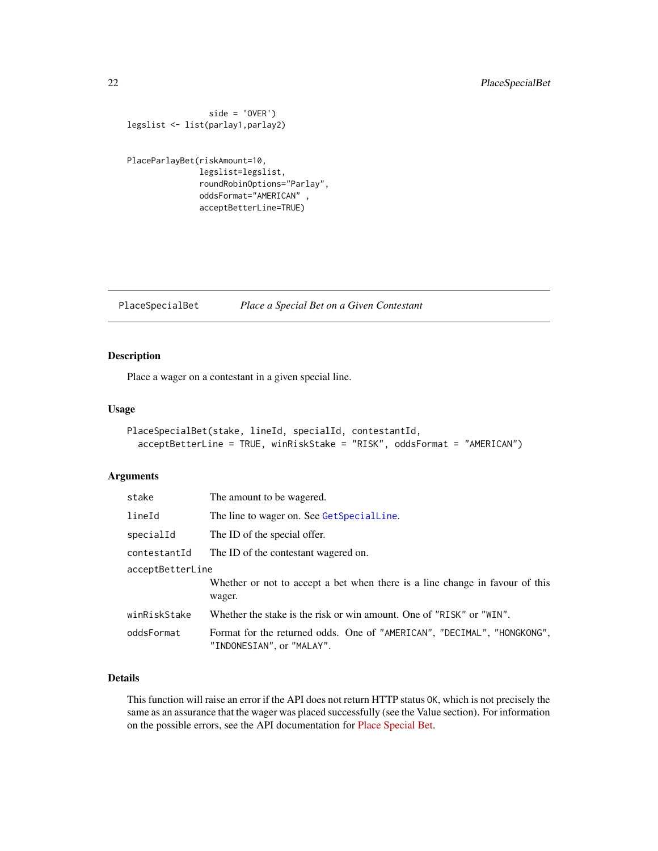```
side = 'OVER')
legslist <- list(parlay1,parlay2)
```

```
PlaceParlayBet(riskAmount=10,
               legslist=legslist,
               roundRobinOptions="Parlay",
               oddsFormat="AMERICAN" ,
               acceptBetterLine=TRUE)
```
<span id="page-21-1"></span>PlaceSpecialBet *Place a Special Bet on a Given Contestant*

## Description

Place a wager on a contestant in a given special line.

## Usage

```
PlaceSpecialBet(stake, lineId, specialId, contestantId,
  acceptBetterLine = TRUE, winRiskStake = "RISK", oddsFormat = "AMERICAN")
```
#### Arguments

| stake            | The amount to be wagered.                                                                            |  |
|------------------|------------------------------------------------------------------------------------------------------|--|
| lineId           | The line to wager on. See GetSpecialLine.                                                            |  |
| specialId        | The ID of the special offer.                                                                         |  |
| contestantId     | The ID of the contestant wagered on.                                                                 |  |
| acceptBetterLine |                                                                                                      |  |
|                  | Whether or not to accept a bet when there is a line change in favour of this<br>wager.               |  |
| winRiskStake     | Whether the stake is the risk or win amount. One of "RISK" or "WIN".                                 |  |
| oddsFormat       | Format for the returned odds. One of "AMERICAN", "DECIMAL", "HONGKONG",<br>"INDONESIAN", or "MALAY". |  |

#### Details

This function will raise an error if the API does not return HTTP status OK, which is not precisely the same as an assurance that the wager was placed successfully (see the Value section). For information on the possible errors, see the API documentation for [Place Special Bet.](https://pinnacleapi.github.io/betsapi#operation/Bets_Special)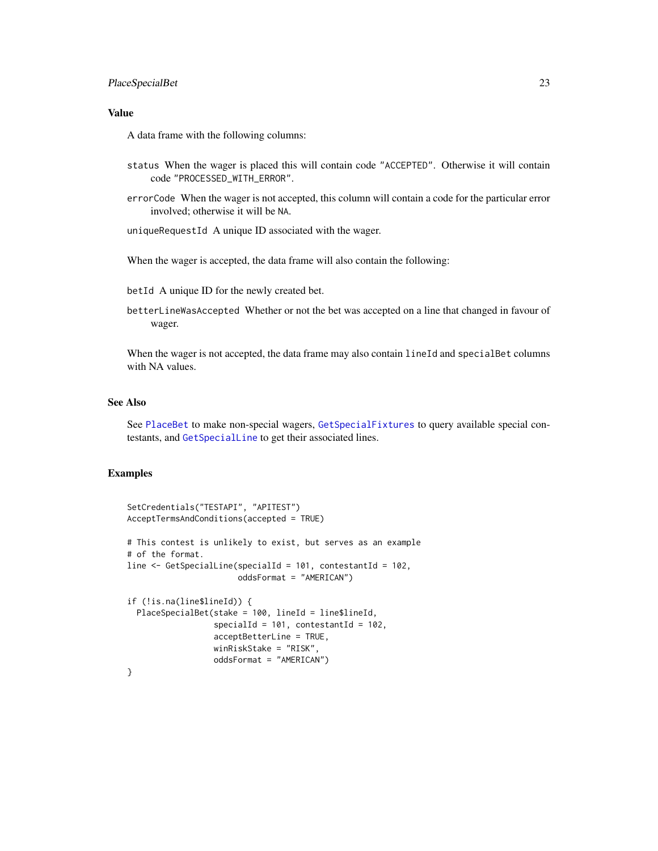#### <span id="page-22-0"></span>PlaceSpecialBet 23

#### Value

A data frame with the following columns:

- status When the wager is placed this will contain code "ACCEPTED". Otherwise it will contain code "PROCESSED\_WITH\_ERROR".
- errorCode When the wager is not accepted, this column will contain a code for the particular error involved; otherwise it will be NA.

uniqueRequestId A unique ID associated with the wager.

When the wager is accepted, the data frame will also contain the following:

betId A unique ID for the newly created bet.

betterLineWasAccepted Whether or not the bet was accepted on a line that changed in favour of wager.

When the wager is not accepted, the data frame may also contain lineId and specialBet columns with NA values.

## See Also

See [PlaceBet](#page-17-1) to make non-special wagers, [GetSpecialFixtures](#page-13-1) to query available special contestants, and [GetSpecialLine](#page-14-1) to get their associated lines.

```
SetCredentials("TESTAPI", "APITEST")
AcceptTermsAndConditions(accepted = TRUE)
# This contest is unlikely to exist, but serves as an example
# of the format.
line <- GetSpecialLine(specialId = 101, contestantId = 102,
                       oddsFormat = "AMERICAN")
if (!is.na(line$lineId)) {
  PlaceSpecialBet(stake = 100, lineId = line$lineId,
                  specialId = 101, contestantId = 102,
                  acceptBetterLine = TRUE,
                  winRiskStake = "RISK",
                  oddsFormat = "AMERICAN")
}
```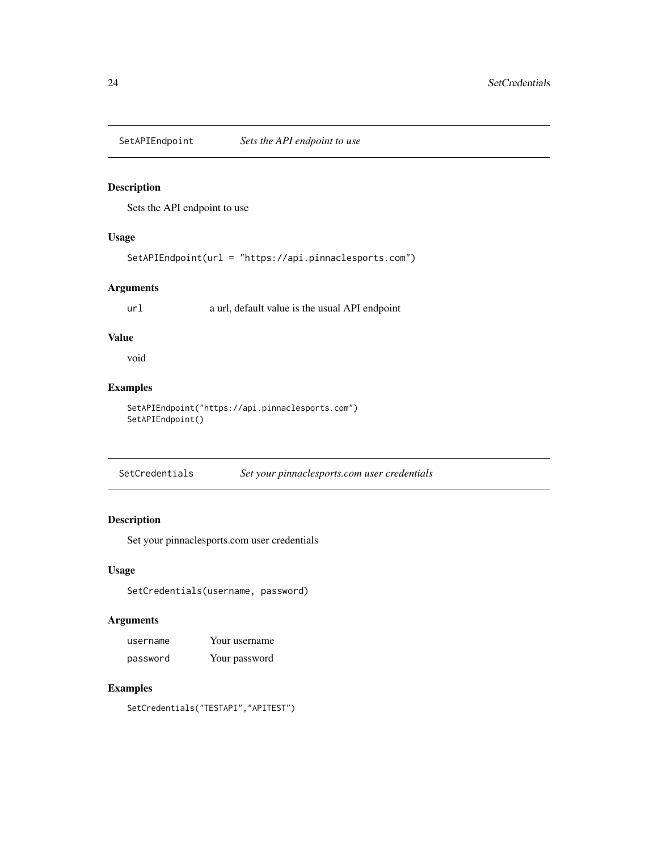<span id="page-23-0"></span>

Sets the API endpoint to use

# Usage

SetAPIEndpoint(url = "https://api.pinnaclesports.com")

#### Arguments

url a url, default value is the usual API endpoint

#### Value

void

#### Examples

```
SetAPIEndpoint("https://api.pinnaclesports.com")
SetAPIEndpoint()
```
SetCredentials *Set your pinnaclesports.com user credentials*

# Description

Set your pinnaclesports.com user credentials

#### Usage

SetCredentials(username, password)

# Arguments

| username | Your username |
|----------|---------------|
| password | Your password |

## Examples

SetCredentials("TESTAPI","APITEST")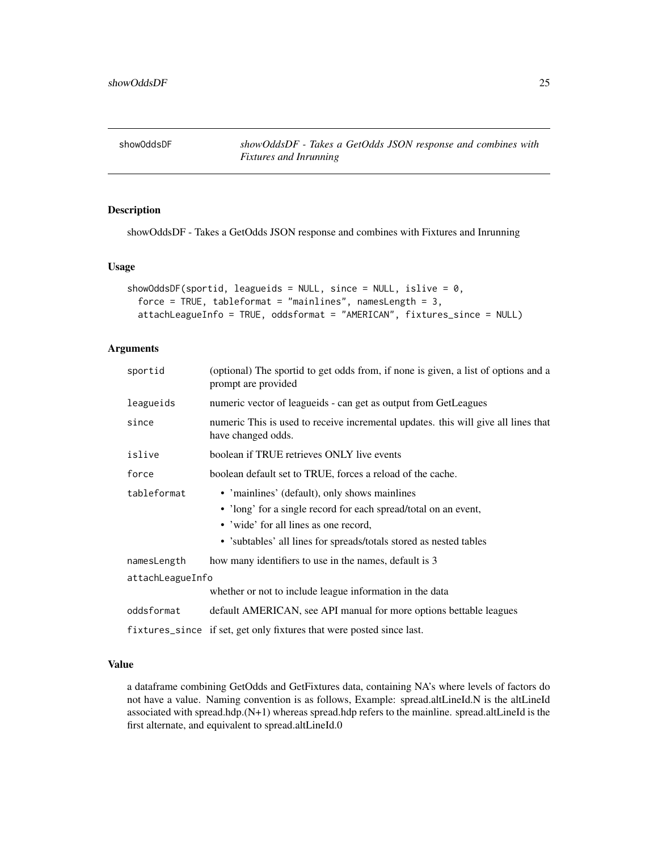<span id="page-24-0"></span>showOddsDF *showOddsDF - Takes a GetOdds JSON response and combines with Fixtures and Inrunning*

#### Description

showOddsDF - Takes a GetOdds JSON response and combines with Fixtures and Inrunning

#### Usage

```
showOddsDF(sportid, leagueids = NULL, since = NULL, islive = 0,
  force = TRUE, tableformat = "mainlines", namesLength = 3,
  attachLeagueInfo = TRUE, oddsformat = "AMERICAN", fixtures_since = NULL)
```
#### Arguments

| sportid          | (optional) The sportid to get odds from, if none is given, a list of options and a<br>prompt are provided |  |
|------------------|-----------------------------------------------------------------------------------------------------------|--|
| leagueids        | numeric vector of leagueids - can get as output from GetLeagues                                           |  |
| since            | numeric This is used to receive incremental updates, this will give all lines that<br>have changed odds.  |  |
| islive           | boolean if TRUE retrieves ONLY live events                                                                |  |
| force            | boolean default set to TRUE, forces a reload of the cache.                                                |  |
| tableformat      | • 'mainlines' (default), only shows mainlines                                                             |  |
|                  | • 'long' for a single record for each spread/total on an event,                                           |  |
|                  | • 'wide' for all lines as one record,                                                                     |  |
|                  | • 'subtables' all lines for spreads/totals stored as nested tables                                        |  |
| namesLength      | how many identifiers to use in the names, default is 3                                                    |  |
| attachLeagueInfo |                                                                                                           |  |
|                  | whether or not to include league information in the data                                                  |  |
| oddsformat       | default AMERICAN, see API manual for more options bettable leagues                                        |  |
|                  | fixtures_since if set, get only fixtures that were posted since last.                                     |  |

#### Value

a dataframe combining GetOdds and GetFixtures data, containing NA's where levels of factors do not have a value. Naming convention is as follows, Example: spread.altLineId.N is the altLineId associated with spread.hdp.(N+1) whereas spread.hdp refers to the mainline. spread.altLineId is the first alternate, and equivalent to spread.altLineId.0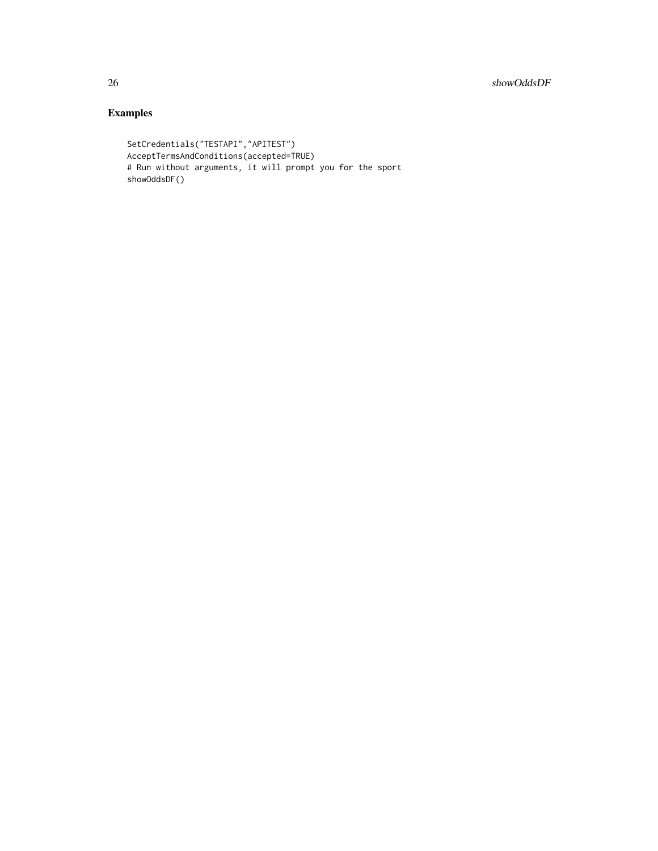```
SetCredentials("TESTAPI","APITEST")
AcceptTermsAndConditions(accepted=TRUE)
# Run without arguments, it will prompt you for the sport
showOddsDF()
```